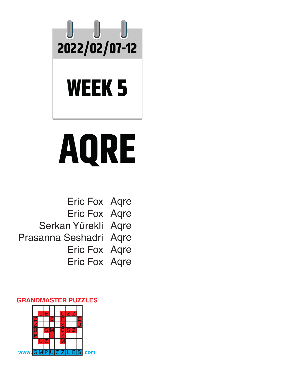

## **WEEK 5**

# **AQRE**

Eric Fox Aqre Eric Fox Aqre Serkan Yürekli Aqre Prasanna Seshadri Aqre Eric Fox Aqre Eric Fox Aqre

#### **GRANDMASTER PUZZLES**

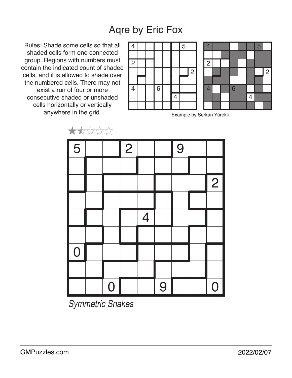Rules: Shade some cells so that all shaded cells form one connected group. Regions with numbers must contain the indicated count of shaded cells, and it is allowed to shade over the numbered cells. There may not exist a run of four or more consecutive shaded or unshaded cells horizontally or vertically anywhere in the grid.

 $+ + + + + + +$ 





Example by Serkan Yürekli

|                     | $\sqrt{2}$ $\sqrt{2}$ $\sqrt{2}$ $\sqrt{2}$ |                |                |                          |   |   |                |
|---------------------|---------------------------------------------|----------------|----------------|--------------------------|---|---|----------------|
| $\sqrt{5}$          |                                             |                | $\overline{2}$ |                          |   | 9 |                |
|                     |                                             |                |                |                          |   |   |                |
|                     |                                             |                |                |                          |   |   | $\overline{2}$ |
|                     |                                             |                |                |                          |   |   |                |
|                     |                                             |                |                | $\overline{\mathcal{A}}$ |   |   |                |
|                     |                                             |                |                |                          |   |   |                |
| I<br>$\overline{0}$ |                                             |                |                |                          |   |   |                |
|                     |                                             |                |                |                          |   |   |                |
|                     |                                             | $\overline{0}$ |                |                          | 9 |   | $\overline{0}$ |

*Symmetric Snakes*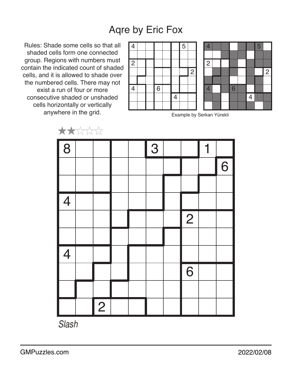Rules: Shade some cells so that all shaded cells form one connected group. Regions with numbers must contain the indicated count of shaded cells, and it is allowed to shade over the numbered cells. There may not exist a run of four or more consecutive shaded or unshaded cells horizontally or vertically anywhere in the grid.





Example by Serkan Yürekli



*Slash*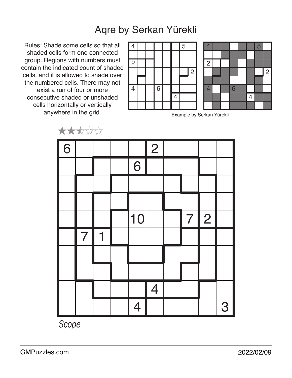#### Aqre by Serkan Yürekli

Rules: Shade some cells so that all shaded cells form one connected group. Regions with numbers must contain the indicated count of shaded cells, and it is allowed to shade over the numbered cells. There may not exist a run of four or more consecutive shaded or unshaded cells horizontally or vertically anywhere in the grid.

 $+ + + +$ 





Example by Serkan Yürekli

|   | $\overline{\phantom{a}}$ | $V \vee V \vee V$ |                |                          |   |            |   |
|---|--------------------------|-------------------|----------------|--------------------------|---|------------|---|
| 6 |                          |                   |                | $\overline{2}$           |   |            |   |
|   |                          |                   | 6              |                          |   |            |   |
|   |                          |                   |                |                          |   |            |   |
|   |                          |                   |                |                          |   |            |   |
|   |                          |                   | 10             |                          | 7 | $\sqrt{2}$ |   |
|   | $\overline{7}$           | $\mathbf 1$       |                |                          |   |            |   |
|   |                          |                   |                |                          |   |            |   |
|   |                          |                   |                |                          |   |            |   |
|   |                          |                   |                | $\overline{\mathcal{A}}$ |   |            |   |
|   |                          |                   | $\overline{4}$ |                          |   |            | 3 |

*Scope*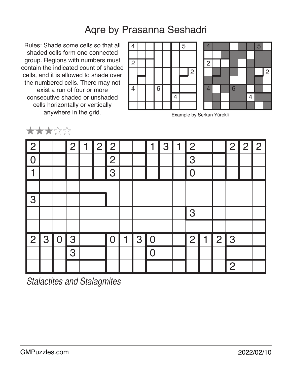### Aqre by Prasanna Seshadri

Rules: Shade some cells so that all shaded cells form one connected group. Regions with numbers must contain the indicated count of shaded cells, and it is allowed to shade over the numbered cells. There may not exist a run of four or more consecutive shaded or unshaded cells horizontally or vertically anywhere in the grid.

★★★☆☆





Example by Serkan Yürekli

| $\sqrt{2}$     |   |             | $\overline{2}$ | $\mathbf 1$ | $\overline{2}$ | 12 <sub>1</sub> |             |                | 1              | 3 | $\mathbf 1$ | $\overline{2}$ |              |                | 2              | $\overline{2}$ | $\overline{2}$ |
|----------------|---|-------------|----------------|-------------|----------------|-----------------|-------------|----------------|----------------|---|-------------|----------------|--------------|----------------|----------------|----------------|----------------|
| I C            |   |             |                |             |                | $\overline{2}$  |             |                |                |   |             | 3              |              |                |                |                |                |
|                |   |             |                |             |                | 3               |             |                |                |   |             | $\Omega$       |              |                |                |                |                |
|                |   |             |                |             |                |                 |             |                |                |   |             |                |              |                |                |                |                |
| 3              |   |             |                |             |                |                 |             |                |                |   |             |                |              |                |                |                |                |
|                |   |             |                |             |                |                 |             |                |                |   |             | 3              |              |                |                |                |                |
|                |   |             |                |             |                |                 |             |                |                |   |             |                |              |                |                |                |                |
| $\overline{2}$ | 3 | $\mathbf 0$ | 3              |             |                | $\mathbf 0$     | $\mathbf 1$ | 3 <sub>1</sub> | $\overline{0}$ |   |             | $\overline{2}$ | $\mathbf{1}$ | 2 <sub>1</sub> | 3              |                |                |
|                |   |             | 3              |             |                |                 |             |                |                |   |             |                |              |                |                |                |                |
|                |   |             |                |             |                |                 |             |                |                |   |             |                |              |                | $\overline{2}$ |                |                |

*Stalactites and Stalagmites*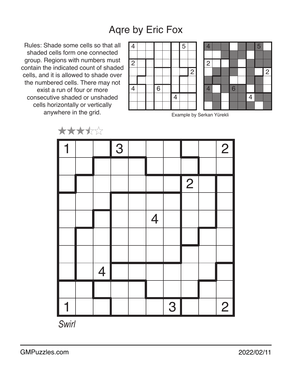Rules: Shade some cells so that all shaded cells form one connected group. Regions with numbers must contain the indicated count of shaded cells, and it is allowed to shade over the numbered cells. There may not exist a run of four or more consecutive shaded or unshaded cells horizontally or vertically anywhere in the grid.





Example by Serkan Yürekli



*Swirl*